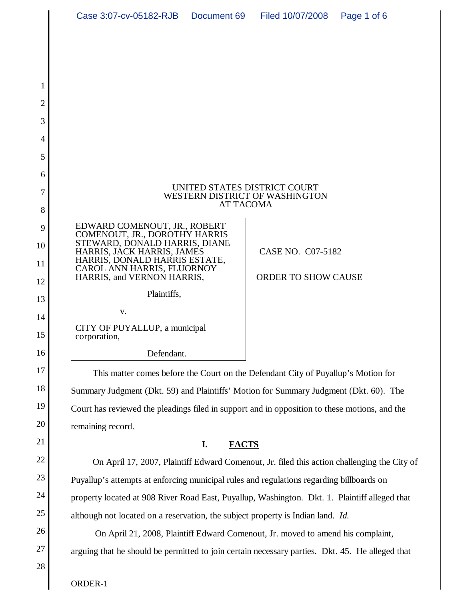| Case 3:07-cv-05182-RJB  Document 69  Filed 10/07/2008                                                                         |  |                            | Page 1 of 6 |  |
|-------------------------------------------------------------------------------------------------------------------------------|--|----------------------------|-------------|--|
|                                                                                                                               |  |                            |             |  |
|                                                                                                                               |  |                            |             |  |
|                                                                                                                               |  |                            |             |  |
|                                                                                                                               |  |                            |             |  |
|                                                                                                                               |  |                            |             |  |
|                                                                                                                               |  |                            |             |  |
|                                                                                                                               |  |                            |             |  |
|                                                                                                                               |  |                            |             |  |
| UNITED STATES DISTRICT COURT<br>WESTERN DISTRICT OF WASHINGTON<br><b>AT TACOMA</b>                                            |  |                            |             |  |
| EDWARD COMENOUT, JR., ROBERT                                                                                                  |  |                            |             |  |
| COMENOUT, JR., DOROTHY HARRIS<br>STEWARD, DONALD HARRIS, DIANE<br>HARRIS, JÁCK HARRIS, JAMES<br>HARRIS, DONALD HARRIS ESTATE, |  | CASE NO. C07-5182          |             |  |
| CAROL ANN HARRIS, FLUORNOY<br>HARRIS, and VERNON HARRIS,                                                                      |  | <b>ORDER TO SHOW CAUSE</b> |             |  |
| Plaintiffs,                                                                                                                   |  |                            |             |  |
| V.                                                                                                                            |  |                            |             |  |
| CITY OF PUYALLUP, a municipal<br>corporation,                                                                                 |  |                            |             |  |
| Defendant.                                                                                                                    |  |                            |             |  |
| This matter comes before the Court on the Defendant City of Puyallup's Motion for                                             |  |                            |             |  |
| Summary Judgment (Dkt. 59) and Plaintiffs' Motion for Summary Judgment (Dkt. 60). The                                         |  |                            |             |  |
| Court has reviewed the pleadings filed in support and in opposition to these motions, and the                                 |  |                            |             |  |
| remaining record.                                                                                                             |  |                            |             |  |
| I.<br><b>FACTS</b>                                                                                                            |  |                            |             |  |
| On April 17, 2007, Plaintiff Edward Comenout, Jr. filed this action challenging the City of                                   |  |                            |             |  |
| Puyallup's attempts at enforcing municipal rules and regulations regarding billboards on                                      |  |                            |             |  |
| property located at 908 River Road East, Puyallup, Washington. Dkt. 1. Plaintiff alleged that                                 |  |                            |             |  |

On April 21, 2008, Plaintiff Edward Comenout, Jr. moved to amend his complaint,

although not located on a reservation, the subject property is Indian land. *Id.*

arguing that he should be permitted to join certain necessary parties. Dkt. 45. He alleged that

ORDER-1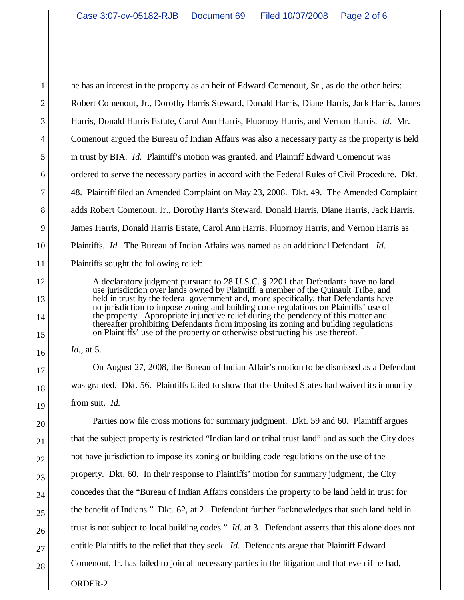he has an interest in the property as an heir of Edward Comenout, Sr., as do the other heirs: Robert Comenout, Jr., Dorothy Harris Steward, Donald Harris, Diane Harris, Jack Harris, James Harris, Donald Harris Estate, Carol Ann Harris, Fluornoy Harris, and Vernon Harris. *Id*. Mr. Comenout argued the Bureau of Indian Affairs was also a necessary party as the property is held in trust by BIA. *Id.* Plaintiff's motion was granted, and Plaintiff Edward Comenout was ordered to serve the necessary parties in accord with the Federal Rules of Civil Procedure. Dkt. 48. Plaintiff filed an Amended Complaint on May 23, 2008. Dkt. 49. The Amended Complaint adds Robert Comenout, Jr., Dorothy Harris Steward, Donald Harris, Diane Harris, Jack Harris, James Harris, Donald Harris Estate, Carol Ann Harris, Fluornoy Harris, and Vernon Harris as Plaintiffs. *Id.* The Bureau of Indian Affairs was named as an additional Defendant. *Id.* Plaintiffs sought the following relief:

A declaratory judgment pursuant to 28 U.S.C. § 2201 that Defendants have no land use jurisdiction over lands owned by Plaintiff, a member of the Quinault Tribe, and held in trust by the federal government and, more specifically, that Defendants have no jurisdiction to impose zoning and building code regulations on Plaintiffs' use of the property. Appropriate injunctive relief during the pendency of this matter and thereafter prohibiting Defendants from imposing its zoning and building regulations on Plaintiffs' use of the property or otherwise obstructing his use thereof.

*Id.,* at 5.

On August 27, 2008, the Bureau of Indian Affair's motion to be dismissed as a Defendant was granted. Dkt. 56. Plaintiffs failed to show that the United States had waived its immunity from suit. *Id.*

ORDER-2 Parties now file cross motions for summary judgment. Dkt. 59 and 60. Plaintiff argues that the subject property is restricted "Indian land or tribal trust land" and as such the City does not have jurisdiction to impose its zoning or building code regulations on the use of the property. Dkt. 60. In their response to Plaintiffs' motion for summary judgment, the City concedes that the "Bureau of Indian Affairs considers the property to be land held in trust for the benefit of Indians." Dkt. 62, at 2. Defendant further "acknowledges that such land held in trust is not subject to local building codes." *Id.* at 3. Defendant asserts that this alone does not entitle Plaintiffs to the relief that they seek. *Id.* Defendants argue that Plaintiff Edward Comenout, Jr. has failed to join all necessary parties in the litigation and that even if he had,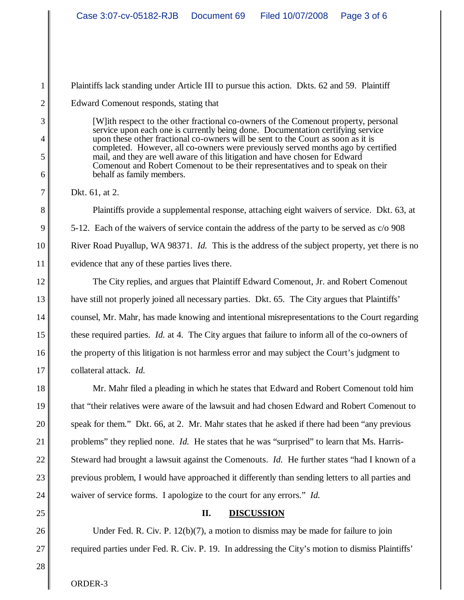Plaintiffs lack standing under Article III to pursue this action. Dkts. 62 and 59. Plaintiff

Edward Comenout responds, stating that

[W]ith respect to the other fractional co-owners of the Comenout property, personal service upon each one is currently being done. Documentation certifying service upon these other fractional co-owners will be sent to the Court as soon as it is completed. However, all co-owners were previously served months ago by certified mail, and they are well aware of this litigation and have chosen for Edward Comenout and Robert Comenout to be their representatives and to speak on their behalf as family members.

Dkt. 61, at 2.

Plaintiffs provide a supplemental response, attaching eight waivers of service. Dkt. 63, at 5-12. Each of the waivers of service contain the address of the party to be served as c/o 908 River Road Puyallup, WA 98371. *Id.* This is the address of the subject property, yet there is no evidence that any of these parties lives there.

The City replies, and argues that Plaintiff Edward Comenout, Jr. and Robert Comenout have still not properly joined all necessary parties. Dkt. 65. The City argues that Plaintiffs' counsel, Mr. Mahr, has made knowing and intentional misrepresentations to the Court regarding these required parties. *Id.* at 4. The City argues that failure to inform all of the co-owners of the property of this litigation is not harmless error and may subject the Court's judgment to collateral attack. *Id.*

Mr. Mahr filed a pleading in which he states that Edward and Robert Comenout told him that "their relatives were aware of the lawsuit and had chosen Edward and Robert Comenout to speak for them." Dkt. 66, at 2. Mr. Mahr states that he asked if there had been "any previous problems" they replied none. *Id.* He states that he was "surprised" to learn that Ms. Harris-Steward had brought a lawsuit against the Comenouts. *Id.* He further states "had I known of a previous problem, I would have approached it differently than sending letters to all parties and waiver of service forms. I apologize to the court for any errors." *Id.*

## **II. DISCUSSION**

Under Fed. R. Civ. P. 12(b)(7), a motion to dismiss may be made for failure to join required parties under Fed. R. Civ. P. 19. In addressing the City's motion to dismiss Plaintiffs'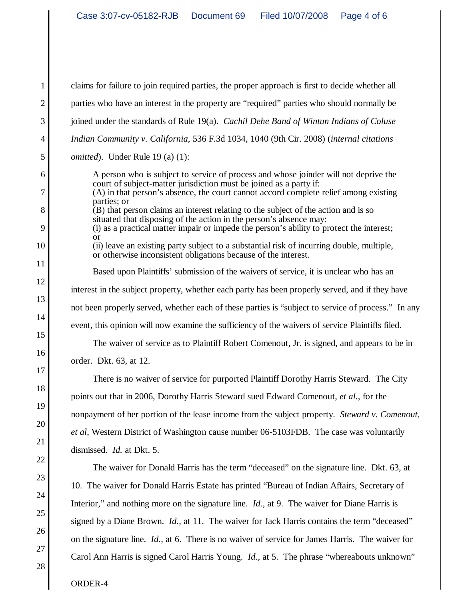claims for failure to join required parties, the proper approach is first to decide whether all parties who have an interest in the property are "required" parties who should normally be joined under the standards of Rule 19(a). *Cachil Dehe Band of Wintun Indians of Coluse Indian Community v. California,* 536 F.3d 1034, 1040 (9th Cir. 2008) (*internal citations omitted*). Under Rule 19 (a) (1): A person who is subject to service of process and whose joinder will not deprive the court of subject-matter jurisdiction must be joined as a party if: (A) in that person's absence, the court cannot accord complete relief among existing parties; or (B) that person claims an interest relating to the subject of the action and is so situated that disposing of the action in the person's absence may: (i) as a practical matter impair or impede the person's ability to protect the interest; or (ii) leave an existing party subject to a substantial risk of incurring double, multiple, or otherwise inconsistent obligations because of the interest. Based upon Plaintiffs' submission of the waivers of service, it is unclear who has an interest in the subject property, whether each party has been properly served, and if they have not been properly served, whether each of these parties is "subject to service of process." In any event, this opinion will now examine the sufficiency of the waivers of service Plaintiffs filed. The waiver of service as to Plaintiff Robert Comenout, Jr. is signed, and appears to be in order. Dkt. 63, at 12. There is no waiver of service for purported Plaintiff Dorothy Harris Steward. The City

points out that in 2006, Dorothy Harris Steward sued Edward Comenout, *et al.*, for the nonpayment of her portion of the lease income from the subject property. *Steward v. Comenout*, *et al*, Western District of Washington cause number 06-5103FDB. The case was voluntarily dismissed. *Id.* at Dkt. 5.

The waiver for Donald Harris has the term "deceased" on the signature line. Dkt. 63, at 10. The waiver for Donald Harris Estate has printed "Bureau of Indian Affairs, Secretary of Interior," and nothing more on the signature line. *Id.,* at 9. The waiver for Diane Harris is signed by a Diane Brown. *Id.,* at 11. The waiver for Jack Harris contains the term "deceased" on the signature line. *Id.,* at 6. There is no waiver of service for James Harris. The waiver for Carol Ann Harris is signed Carol Harris Young. *Id.,* at 5. The phrase "whereabouts unknown"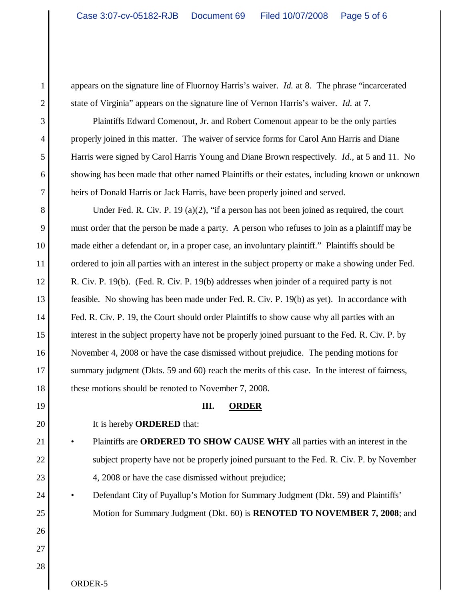appears on the signature line of Fluornoy Harris's waiver. *Id.* at 8. The phrase "incarcerated state of Virginia" appears on the signature line of Vernon Harris's waiver. *Id.* at 7.

Plaintiffs Edward Comenout, Jr. and Robert Comenout appear to be the only parties properly joined in this matter. The waiver of service forms for Carol Ann Harris and Diane Harris were signed by Carol Harris Young and Diane Brown respectively. *Id.,* at 5 and 11. No showing has been made that other named Plaintiffs or their estates, including known or unknown heirs of Donald Harris or Jack Harris, have been properly joined and served.

Under Fed. R. Civ. P. 19 (a)(2), "if a person has not been joined as required, the court must order that the person be made a party. A person who refuses to join as a plaintiff may be made either a defendant or, in a proper case, an involuntary plaintiff." Plaintiffs should be ordered to join all parties with an interest in the subject property or make a showing under Fed. R. Civ. P. 19(b). (Fed. R. Civ. P. 19(b) addresses when joinder of a required party is not feasible. No showing has been made under Fed. R. Civ. P. 19(b) as yet). In accordance with Fed. R. Civ. P. 19, the Court should order Plaintiffs to show cause why all parties with an interest in the subject property have not be properly joined pursuant to the Fed. R. Civ. P. by November 4, 2008 or have the case dismissed without prejudice. The pending motions for summary judgment (Dkts. 59 and 60) reach the merits of this case. In the interest of fairness, these motions should be renoted to November 7, 2008.

## **III. ORDER**

It is hereby **ORDERED** that:

- Plaintiffs are **ORDERED TO SHOW CAUSE WHY** all parties with an interest in the subject property have not be properly joined pursuant to the Fed. R. Civ. P. by November 4, 2008 or have the case dismissed without prejudice;
- Defendant City of Puyallup's Motion for Summary Judgment (Dkt. 59) and Plaintiffs' Motion for Summary Judgment (Dkt. 60) is **RENOTED TO NOVEMBER 7, 2008**; and

ORDER-5